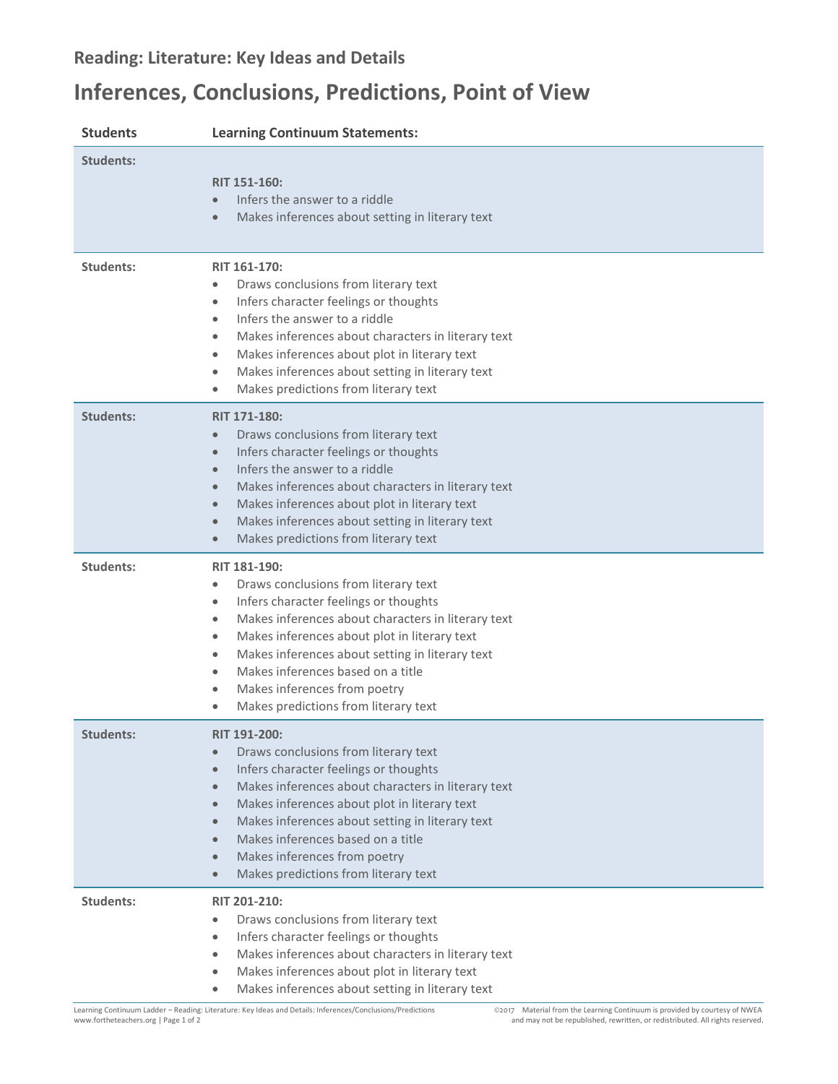## **Inferences, Conclusions, Predictions, Point of View**

| <b>Students</b>  | <b>Learning Continuum Statements:</b>                                                                                                                                                                                                                                                                                                                                                                                                                                              |
|------------------|------------------------------------------------------------------------------------------------------------------------------------------------------------------------------------------------------------------------------------------------------------------------------------------------------------------------------------------------------------------------------------------------------------------------------------------------------------------------------------|
| Students:        | <b>RIT 151-160:</b><br>Infers the answer to a riddle<br>$\bullet$<br>Makes inferences about setting in literary text<br>$\bullet$                                                                                                                                                                                                                                                                                                                                                  |
| Students:        | <b>RIT 161-170:</b><br>Draws conclusions from literary text<br>$\bullet$<br>Infers character feelings or thoughts<br>$\bullet$<br>Infers the answer to a riddle<br>$\bullet$<br>Makes inferences about characters in literary text<br>$\bullet$<br>Makes inferences about plot in literary text<br>$\bullet$<br>Makes inferences about setting in literary text<br>$\bullet$<br>Makes predictions from literary text<br>$\bullet$                                                  |
| <b>Students:</b> | <b>RIT 171-180:</b><br>Draws conclusions from literary text<br>$\bullet$<br>Infers character feelings or thoughts<br>$\bullet$<br>Infers the answer to a riddle<br>$\bullet$<br>Makes inferences about characters in literary text<br>$\bullet$<br>Makes inferences about plot in literary text<br>$\bullet$<br>Makes inferences about setting in literary text<br>$\bullet$<br>Makes predictions from literary text<br>$\bullet$                                                  |
| <b>Students:</b> | <b>RIT 181-190:</b><br>Draws conclusions from literary text<br>$\bullet$<br>Infers character feelings or thoughts<br>$\bullet$<br>Makes inferences about characters in literary text<br>$\bullet$<br>Makes inferences about plot in literary text<br>$\bullet$<br>Makes inferences about setting in literary text<br>$\bullet$<br>Makes inferences based on a title<br>$\bullet$<br>Makes inferences from poetry<br>$\bullet$<br>Makes predictions from literary text<br>$\bullet$ |
| Students:        | <b>RIT 191-200:</b><br>Draws conclusions from literary text<br>$\bullet$<br>Infers character feelings or thoughts<br>$\bullet$<br>Makes inferences about characters in literary text<br>$\bullet$<br>Makes inferences about plot in literary text<br>$\bullet$<br>Makes inferences about setting in literary text<br>$\bullet$<br>Makes inferences based on a title<br>$\bullet$<br>Makes inferences from poetry<br>$\bullet$<br>Makes predictions from literary text<br>$\bullet$ |
| <b>Students:</b> | <b>RIT 201-210:</b><br>Draws conclusions from literary text<br>$\bullet$<br>Infers character feelings or thoughts<br>$\bullet$<br>Makes inferences about characters in literary text<br>$\bullet$<br>Makes inferences about plot in literary text<br>$\bullet$<br>Makes inferences about setting in literary text<br>$\bullet$                                                                                                                                                     |